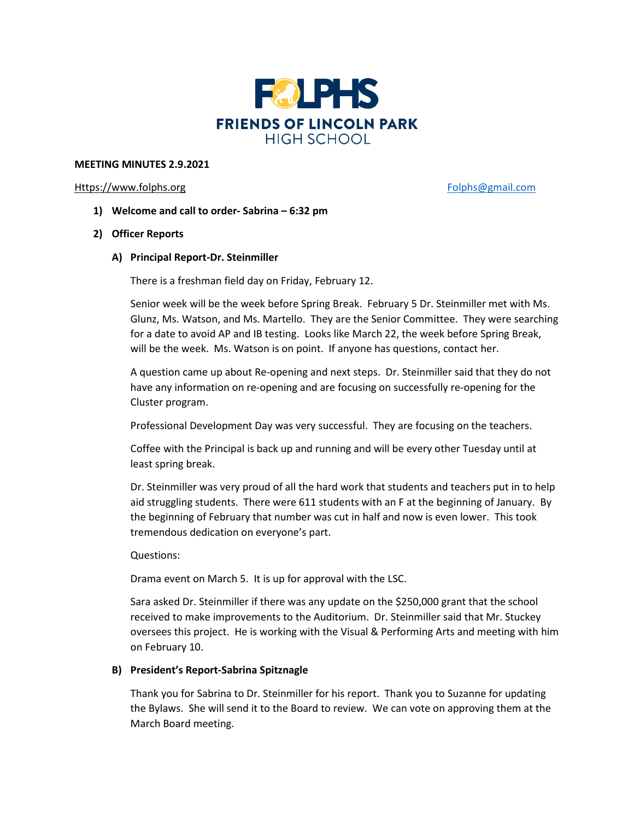

### **MEETING MINUTES 2.9.2021**

#### [Https://www.folphs.org](https://www.folphs.org/) [Folphs@gmail.com](mailto:Folphs@gmail.com)

- **1) Welcome and call to order- Sabrina – 6:32 pm**
- **2) Officer Reports**
	- **A) Principal Report-Dr. Steinmiller**

There is a freshman field day on Friday, February 12.

Senior week will be the week before Spring Break. February 5 Dr. Steinmiller met with Ms. Glunz, Ms. Watson, and Ms. Martello. They are the Senior Committee. They were searching for a date to avoid AP and IB testing. Looks like March 22, the week before Spring Break, will be the week. Ms. Watson is on point. If anyone has questions, contact her.

A question came up about Re-opening and next steps. Dr. Steinmiller said that they do not have any information on re-opening and are focusing on successfully re-opening for the Cluster program.

Professional Development Day was very successful. They are focusing on the teachers.

Coffee with the Principal is back up and running and will be every other Tuesday until at least spring break.

Dr. Steinmiller was very proud of all the hard work that students and teachers put in to help aid struggling students. There were 611 students with an F at the beginning of January. By the beginning of February that number was cut in half and now is even lower. This took tremendous dedication on everyone's part.

Questions:

Drama event on March 5. It is up for approval with the LSC.

Sara asked Dr. Steinmiller if there was any update on the \$250,000 grant that the school received to make improvements to the Auditorium. Dr. Steinmiller said that Mr. Stuckey oversees this project. He is working with the Visual & Performing Arts and meeting with him on February 10.

# **B) President's Report-Sabrina Spitznagle**

Thank you for Sabrina to Dr. Steinmiller for his report. Thank you to Suzanne for updating the Bylaws. She will send it to the Board to review. We can vote on approving them at the March Board meeting.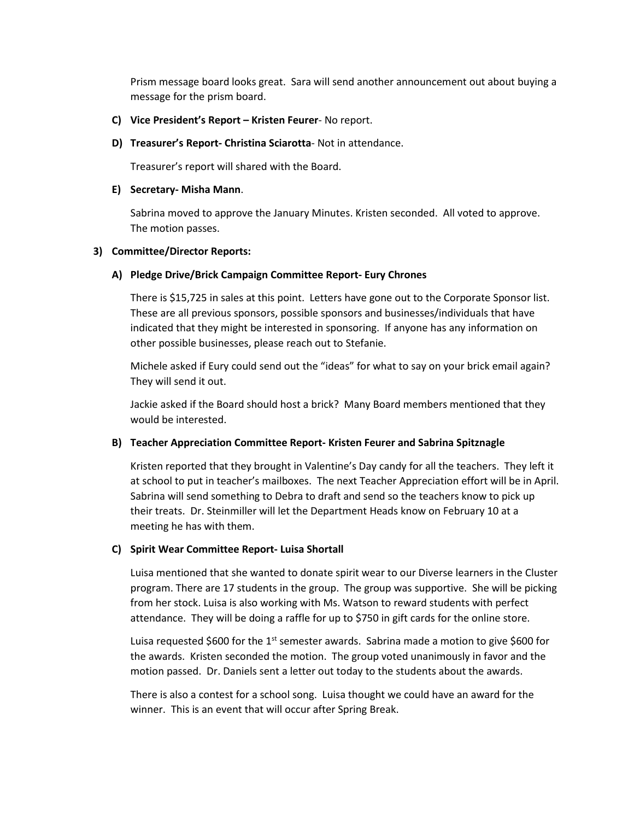Prism message board looks great. Sara will send another announcement out about buying a message for the prism board.

- **C) Vice President's Report – Kristen Feurer** No report.
- **D) Treasurer's Report- Christina Sciarotta** Not in attendance.

Treasurer's report will shared with the Board.

## **E) Secretary- Misha Mann**.

Sabrina moved to approve the January Minutes. Kristen seconded. All voted to approve. The motion passes.

## **3) Committee/Director Reports:**

## **A) Pledge Drive/Brick Campaign Committee Report- Eury Chrones**

There is \$15,725 in sales at this point. Letters have gone out to the Corporate Sponsor list. These are all previous sponsors, possible sponsors and businesses/individuals that have indicated that they might be interested in sponsoring. If anyone has any information on other possible businesses, please reach out to Stefanie.

Michele asked if Eury could send out the "ideas" for what to say on your brick email again? They will send it out.

Jackie asked if the Board should host a brick? Many Board members mentioned that they would be interested.

## **B) Teacher Appreciation Committee Report- Kristen Feurer and Sabrina Spitznagle**

Kristen reported that they brought in Valentine's Day candy for all the teachers. They left it at school to put in teacher's mailboxes. The next Teacher Appreciation effort will be in April. Sabrina will send something to Debra to draft and send so the teachers know to pick up their treats. Dr. Steinmiller will let the Department Heads know on February 10 at a meeting he has with them.

## **C) Spirit Wear Committee Report- Luisa Shortall**

Luisa mentioned that she wanted to donate spirit wear to our Diverse learners in the Cluster program. There are 17 students in the group. The group was supportive. She will be picking from her stock. Luisa is also working with Ms. Watson to reward students with perfect attendance. They will be doing a raffle for up to \$750 in gift cards for the online store.

Luisa requested \$600 for the 1<sup>st</sup> semester awards. Sabrina made a motion to give \$600 for the awards. Kristen seconded the motion. The group voted unanimously in favor and the motion passed. Dr. Daniels sent a letter out today to the students about the awards.

There is also a contest for a school song. Luisa thought we could have an award for the winner. This is an event that will occur after Spring Break.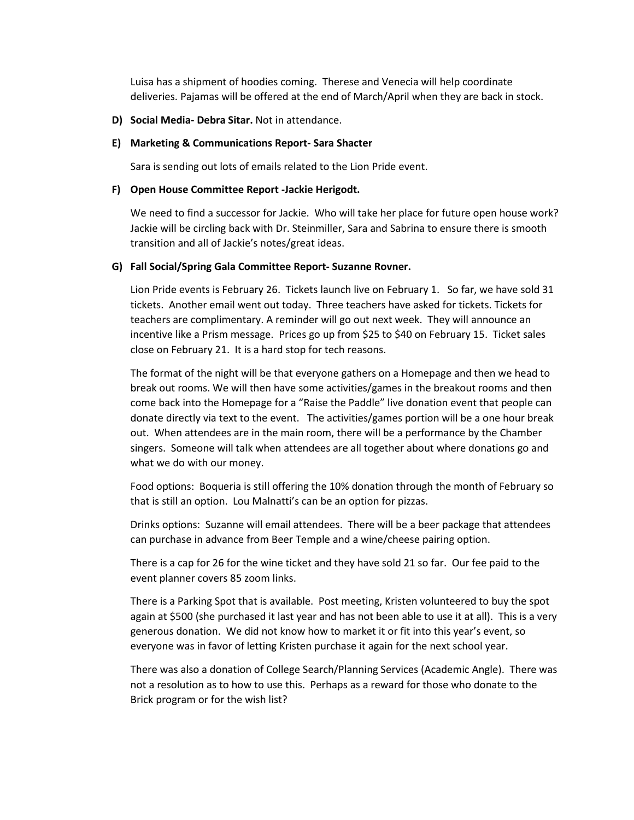Luisa has a shipment of hoodies coming. Therese and Venecia will help coordinate deliveries. Pajamas will be offered at the end of March/April when they are back in stock.

**D) Social Media- Debra Sitar.** Not in attendance.

#### **E) Marketing & Communications Report- Sara Shacter**

Sara is sending out lots of emails related to the Lion Pride event.

#### **F) Open House Committee Report -Jackie Herigodt.**

We need to find a successor for Jackie. Who will take her place for future open house work? Jackie will be circling back with Dr. Steinmiller, Sara and Sabrina to ensure there is smooth transition and all of Jackie's notes/great ideas.

#### **G) Fall Social/Spring Gala Committee Report- Suzanne Rovner.**

Lion Pride events is February 26. Tickets launch live on February 1. So far, we have sold 31 tickets. Another email went out today. Three teachers have asked for tickets. Tickets for teachers are complimentary. A reminder will go out next week. They will announce an incentive like a Prism message. Prices go up from \$25 to \$40 on February 15. Ticket sales close on February 21. It is a hard stop for tech reasons.

The format of the night will be that everyone gathers on a Homepage and then we head to break out rooms. We will then have some activities/games in the breakout rooms and then come back into the Homepage for a "Raise the Paddle" live donation event that people can donate directly via text to the event. The activities/games portion will be a one hour break out. When attendees are in the main room, there will be a performance by the Chamber singers. Someone will talk when attendees are all together about where donations go and what we do with our money.

Food options: Boqueria is still offering the 10% donation through the month of February so that is still an option. Lou Malnatti's can be an option for pizzas.

Drinks options: Suzanne will email attendees. There will be a beer package that attendees can purchase in advance from Beer Temple and a wine/cheese pairing option.

There is a cap for 26 for the wine ticket and they have sold 21 so far. Our fee paid to the event planner covers 85 zoom links.

There is a Parking Spot that is available. Post meeting, Kristen volunteered to buy the spot again at \$500 (she purchased it last year and has not been able to use it at all). This is a very generous donation. We did not know how to market it or fit into this year's event, so everyone was in favor of letting Kristen purchase it again for the next school year.

There was also a donation of College Search/Planning Services (Academic Angle). There was not a resolution as to how to use this. Perhaps as a reward for those who donate to the Brick program or for the wish list?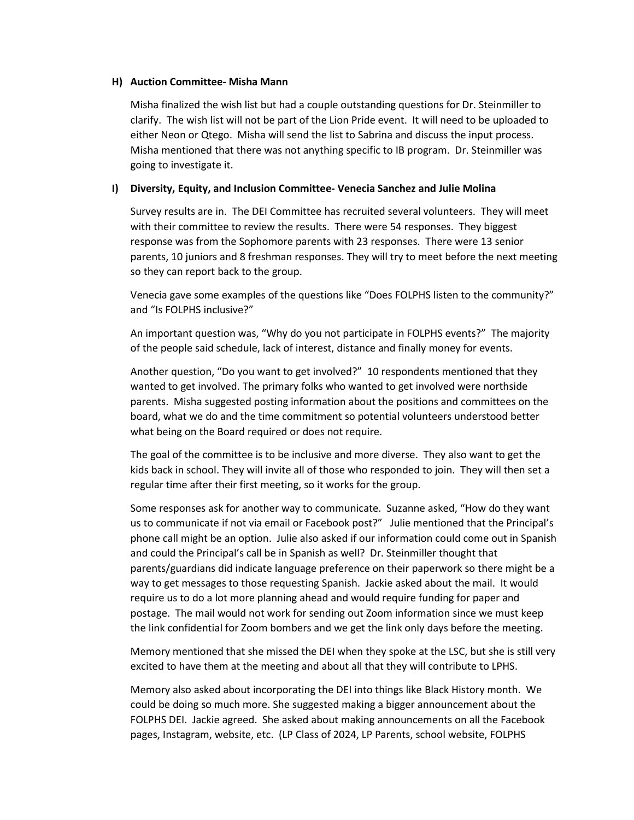#### **H) Auction Committee- Misha Mann**

Misha finalized the wish list but had a couple outstanding questions for Dr. Steinmiller to clarify. The wish list will not be part of the Lion Pride event. It will need to be uploaded to either Neon or Qtego. Misha will send the list to Sabrina and discuss the input process. Misha mentioned that there was not anything specific to IB program. Dr. Steinmiller was going to investigate it.

## **I) Diversity, Equity, and Inclusion Committee- Venecia Sanchez and Julie Molina**

Survey results are in. The DEI Committee has recruited several volunteers. They will meet with their committee to review the results. There were 54 responses. They biggest response was from the Sophomore parents with 23 responses. There were 13 senior parents, 10 juniors and 8 freshman responses. They will try to meet before the next meeting so they can report back to the group.

Venecia gave some examples of the questions like "Does FOLPHS listen to the community?" and "Is FOLPHS inclusive?"

An important question was, "Why do you not participate in FOLPHS events?" The majority of the people said schedule, lack of interest, distance and finally money for events.

Another question, "Do you want to get involved?" 10 respondents mentioned that they wanted to get involved. The primary folks who wanted to get involved were northside parents. Misha suggested posting information about the positions and committees on the board, what we do and the time commitment so potential volunteers understood better what being on the Board required or does not require.

The goal of the committee is to be inclusive and more diverse. They also want to get the kids back in school. They will invite all of those who responded to join. They will then set a regular time after their first meeting, so it works for the group.

Some responses ask for another way to communicate. Suzanne asked, "How do they want us to communicate if not via email or Facebook post?" Julie mentioned that the Principal's phone call might be an option. Julie also asked if our information could come out in Spanish and could the Principal's call be in Spanish as well? Dr. Steinmiller thought that parents/guardians did indicate language preference on their paperwork so there might be a way to get messages to those requesting Spanish. Jackie asked about the mail. It would require us to do a lot more planning ahead and would require funding for paper and postage. The mail would not work for sending out Zoom information since we must keep the link confidential for Zoom bombers and we get the link only days before the meeting.

Memory mentioned that she missed the DEI when they spoke at the LSC, but she is still very excited to have them at the meeting and about all that they will contribute to LPHS.

Memory also asked about incorporating the DEI into things like Black History month. We could be doing so much more. She suggested making a bigger announcement about the FOLPHS DEI. Jackie agreed. She asked about making announcements on all the Facebook pages, Instagram, website, etc. (LP Class of 2024, LP Parents, school website, FOLPHS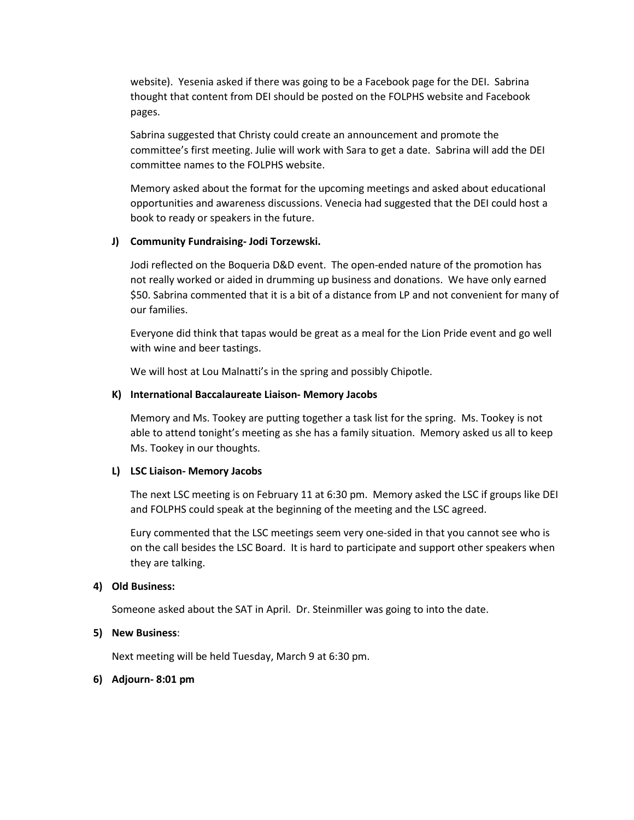website). Yesenia asked if there was going to be a Facebook page for the DEI. Sabrina thought that content from DEI should be posted on the FOLPHS website and Facebook pages.

Sabrina suggested that Christy could create an announcement and promote the committee's first meeting. Julie will work with Sara to get a date. Sabrina will add the DEI committee names to the FOLPHS website.

Memory asked about the format for the upcoming meetings and asked about educational opportunities and awareness discussions. Venecia had suggested that the DEI could host a book to ready or speakers in the future.

## **J) Community Fundraising- Jodi Torzewski.**

Jodi reflected on the Boqueria D&D event. The open-ended nature of the promotion has not really worked or aided in drumming up business and donations. We have only earned \$50. Sabrina commented that it is a bit of a distance from LP and not convenient for many of our families.

Everyone did think that tapas would be great as a meal for the Lion Pride event and go well with wine and beer tastings.

We will host at Lou Malnatti's in the spring and possibly Chipotle.

## **K) International Baccalaureate Liaison- Memory Jacobs**

Memory and Ms. Tookey are putting together a task list for the spring. Ms. Tookey is not able to attend tonight's meeting as she has a family situation. Memory asked us all to keep Ms. Tookey in our thoughts.

## **L) LSC Liaison- Memory Jacobs**

The next LSC meeting is on February 11 at 6:30 pm. Memory asked the LSC if groups like DEI and FOLPHS could speak at the beginning of the meeting and the LSC agreed.

Eury commented that the LSC meetings seem very one-sided in that you cannot see who is on the call besides the LSC Board. It is hard to participate and support other speakers when they are talking.

## **4) Old Business:**

Someone asked about the SAT in April. Dr. Steinmiller was going to into the date.

#### **5) New Business**:

Next meeting will be held Tuesday, March 9 at 6:30 pm.

#### **6) Adjourn- 8:01 pm**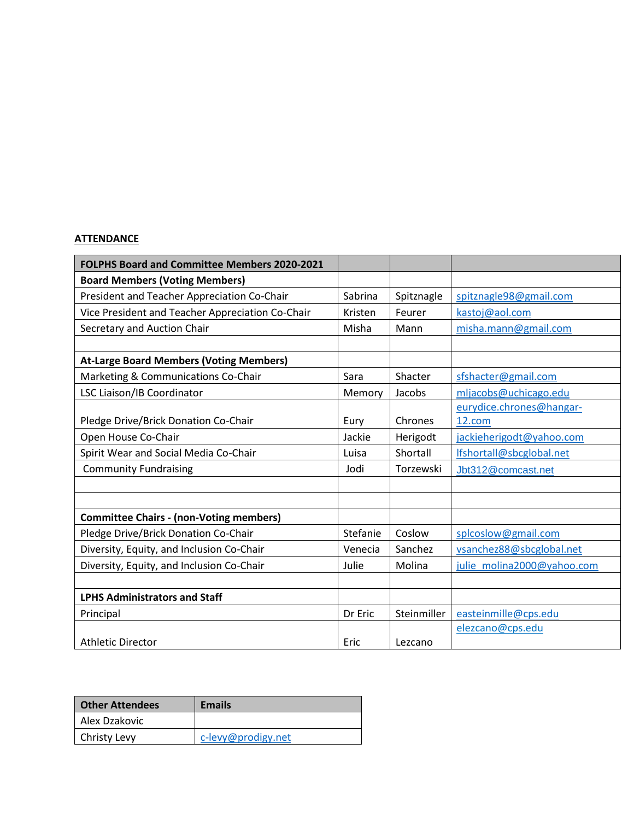# **ATTENDANCE**

| <b>FOLPHS Board and Committee Members 2020-2021</b> |          |             |                            |
|-----------------------------------------------------|----------|-------------|----------------------------|
| <b>Board Members (Voting Members)</b>               |          |             |                            |
| President and Teacher Appreciation Co-Chair         | Sabrina  | Spitznagle  | spitznagle98@gmail.com     |
| Vice President and Teacher Appreciation Co-Chair    | Kristen  | Feurer      | kastoj@aol.com             |
| Secretary and Auction Chair                         | Misha    | Mann        | misha.mann@gmail.com       |
|                                                     |          |             |                            |
| <b>At-Large Board Members (Voting Members)</b>      |          |             |                            |
| Marketing & Communications Co-Chair                 | Sara     | Shacter     | sfshacter@gmail.com        |
| LSC Liaison/IB Coordinator                          | Memory   | Jacobs      | mljacobs@uchicago.edu      |
|                                                     |          |             | eurydice.chrones@hangar-   |
| Pledge Drive/Brick Donation Co-Chair                | Eury     | Chrones     | 12.com                     |
| Open House Co-Chair                                 | Jackie   | Herigodt    | jackieherigodt@yahoo.com   |
| Spirit Wear and Social Media Co-Chair               | Luisa    | Shortall    | Ifshortall@sbcglobal.net   |
| <b>Community Fundraising</b>                        | Jodi     | Torzewski   | Jbt312@comcast.net         |
|                                                     |          |             |                            |
|                                                     |          |             |                            |
| <b>Committee Chairs - (non-Voting members)</b>      |          |             |                            |
| Pledge Drive/Brick Donation Co-Chair                | Stefanie | Coslow      | splcoslow@gmail.com        |
| Diversity, Equity, and Inclusion Co-Chair           | Venecia  | Sanchez     | vsanchez88@sbcglobal.net   |
| Diversity, Equity, and Inclusion Co-Chair           | Julie    | Molina      | julie molina2000@yahoo.com |
|                                                     |          |             |                            |
| <b>LPHS Administrators and Staff</b>                |          |             |                            |
| Principal                                           | Dr Eric  | Steinmiller | easteinmille@cps.edu       |
|                                                     |          |             | elezcano@cps.edu           |
| <b>Athletic Director</b>                            | Eric     | Lezcano     |                            |

| <b>Other Attendees</b> | <b>Emails</b>      |
|------------------------|--------------------|
| Alex Dzakovic          |                    |
| Christy Levy           | c-levy@prodigy.net |